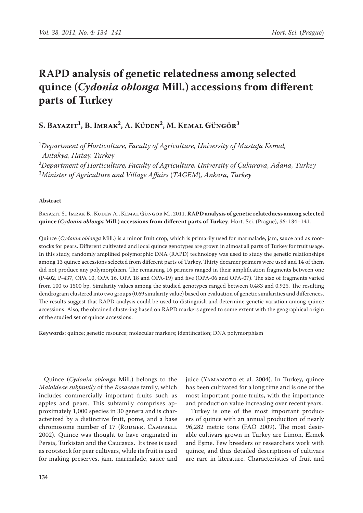# **RAPD analysis of genetic relatedness among selected quince (***Cydonia oblonga* **Mill.) accessions from different parts of Turkey**

# **S. Bayazit1 , B. Imrak2 , A. Küden2 , M. Kemal Güngör3**

 *Department of Horticulture, Faculty of Agriculture, University of Mustafa Kemal, Antakya, Hatay, Turkey Department of Horticulture, Faculty of Agriculture, University of Çukurova, Adana, Turkey Minister of Agriculture and Village Affairs* (*TAGEM*)*, Ankara, Turkey*

#### **Abstract**

Bayazit S., Imrak B., Küden A., Kemal Güngör M., 2011. **RAPD analysis of genetic relatedness among selected quince (***Cydonia oblonga* **Mill.) accessions from different parts of Turkey**. Hort. Sci. (Prague), *38*: 134–141.

Quince (*Cydonia oblonga* Mill.) is a minor fruit crop, which is primarily used for marmalade, jam, sauce and as rootstocks for pears. Different cultivated and local quince genotypes are grown in almost all parts of Turkey for fruit usage. In this study, randomly amplified polymorphic DNA (RAPD) technology was used to study the genetic relationships among 13 quince accessions selected from different parts of Turkey. Thirty decamer primers were used and 14 of them did not produce any polymorphism. The remaining 16 primers ranged in their amplification fragments between one (P-402, P-437, OPA 10, OPA 16, OPA 18 and OPA-19) and five (OPA-06 and OPA-07). The size of fragments varied from 100 to 1500 bp. Similarity values among the studied genotypes ranged between 0.483 and 0.925. The resulting dendrogram clustered into two groups (0.69 similarity value) based on evaluation of genetic similarities and differences. The results suggest that RAPD analysis could be used to distinguish and determine genetic variation among quince accessions. Also, the obtained clustering based on RAPD markers agreed to some extent with the geographical origin of the studied set of quince accessions.

**Keywords**: quince; genetic resource; molecular markers; identification; DNA polymorphism

Quince (*Cydonia oblonga* Mill.) belongs to the *Maloideae subfamily* of the *Rosaceae* family, which includes commercially important fruits such as apples and pears. This subfamily comprises approximately 1,000 species in 30 genera and is characterized by a distinctive fruit, pome, and a base chromosome number of 17 (RODGER, CAMPBELL 2002). Quince was thought to have originated in Persia, Turkistan and the Caucasus. Its tree is used as rootstock for pear cultivars, while its fruit is used for making preserves, jam, marmalade, sauce and juice (YAMAMOTO et al. 2004). In Turkey, quince has been cultivated for a long time and is one of the most important pome fruits, with the importance and production value increasing over recent years.

Turkey is one of the most important producers of quince with an annual production of nearly 96,282 metric tons (FAO 2009). The most desirable cultivars grown in Turkey are Limon, Ekmek and Eşme. Few breeders or researchers work with quince, and thus detailed descriptions of cultivars are rare in literature. Characteristics of fruit and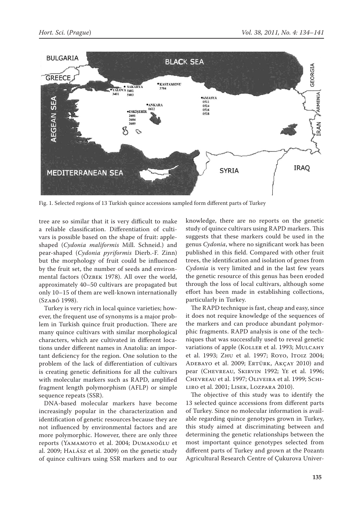

Fig. 1. Selected regions of 13 Turkish quince accessions sampled form different parts of Turkey

tree are so similar that it is very difficult to make a reliable classification. Differentiation of cultivars is possible based on the shape of fruit: appleshaped (*Cydonia maliformis* Mill. Schneid.) and pear-shaped (*Cydonia pyriformis* Dierb.-F. Zinn) but the morphology of fruit could be influenced by the fruit set, the number of seeds and environmental factors (Özbek 1978). All over the world, approximately 40–50 cultivars are propagated but only 10–15 of them are well-known internationally (Szabó 1998).

Turkey is very rich in local quince varieties; however, the frequent use of synonyms is a major problem in Turkish quince fruit production. There are many quince cultivars with similar morphological characters, which are cultivated in different locations under different names in Anatolia: an important deficiency for the region. One solution to the problem of the lack of differentiation of cultivars is creating genetic definitions for all the cultivars with molecular markers such as RAPD, amplified fragment length polymorphism (AFLP) or simple sequence repeats (SSR).

DNA-based molecular markers have become increasingly popular in the characterization and identification of genetic resources because they are not influenced by environmental factors and are more polymorphic. However, there are only three reports (YAMAMOTO et al. 2004; DUMANOĞLU et al. 2009; Halász et al. 2009) on the genetic study of quince cultivars using SSR markers and to our

knowledge, there are no reports on the genetic study of quince cultivars using RAPD markers. This suggests that these markers could be used in the genus *Cydonia*, where no significant work has been published in this field. Compared with other fruit trees, the identification and isolation of genes from *Cydonia* is very limited and in the last few years the genetic resource of this genus has been eroded through the loss of local cultivars, although some effort has been made in establishing collections, particularly in Turkey.

The RAPD technique is fast, cheap and easy, since it does not require knowledge of the sequences of the markers and can produce abundant polymorphic fragments. RAPD analysis is one of the techniques that was successfully used to reveal genetic variations of apple (KOLLER et al. 1993; MULCAHY et al. 1993; Zhu et al. 1997; Royo, Itoiz 2004; ADEBAYO et al. 2009; ERTÜRK, AKÇAY 2010) and pear (Chevreau, Skirvin 1992; Ye et al. 1996; Chevreau et al. 1997; Oliveira et al. 1999; Schiliro et al. 2001; Lisek, Lozpara 2010).

The objective of this study was to identify the 13 selected quince accessions from different parts of Turkey. Since no molecular information is available regarding quince genotypes grown in Turkey, this study aimed at discriminating between and determining the genetic relationships between the most important quince genotypes selected from different parts of Turkey and grown at the Pozantı Agricultural Research Centre of Çukurova Univer-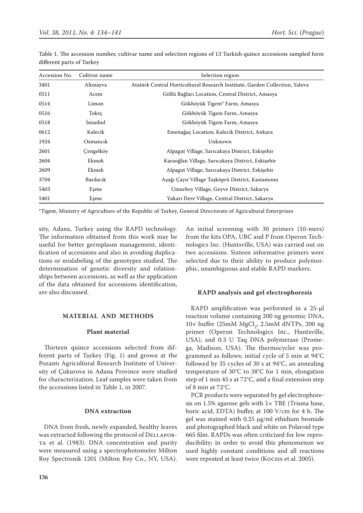| Accession No. | Cultivar name   | Selection region                                                            |
|---------------|-----------------|-----------------------------------------------------------------------------|
| 3401          | Altınayva       | Atatürk Central Horticultural Research Institute, Garden Collection, Yalova |
| 0511          | Acem            | Göllü Bağları Location, Central District, Amasya                            |
| 0514          | Limon           | Gökhöyük Tigem <sup>*</sup> Farm, Amasya                                    |
| 0516          | Tekeç           | Gökhöyük Tigem Farm, Amasya                                                 |
| 0518          | <i>Istanbul</i> | Gökhöyük Tigem Farm, Amasya                                                 |
| 0612          | Kalecik         | Emenağaç Location, Kalecik District, Ankara                                 |
| 1924          | Osmancik        | Unknown                                                                     |
| 2601          | Cengelköy       | Alpagut Village, Sarıcakaya District, Eskişehir                             |
| 2604          | Ekmek           | Karaoğlan Village, Sarıcakaya District, Eskişehir                           |
| 2609          | Ekmek           | Alpagut Village, Sarıcakaya District, Eskişehir                             |
| 3704          | Bardacık        | Aşağı Çayır Village Taşköprü District, Kastamonu                            |
| 5403          | Esme            | Umurbey Village, Geyve District, Sakarya                                    |
| 5401          | Esme            | Yukarı Dere Village, Central District, Sakarya                              |

Table 1. The accession number, cultivar name and selection regions of 13 Turkish quince accessions sampled form different parts of Turkey

\*Tigem, Ministry of Agriculture of the Republic of Turkey, General Directorate of Agricultural Enterprises

sity, Adana, Turkey using the RAPD technology. The information obtained from this work may be useful for better germplasm management, identification of accessions and also in avoiding duplications or mislabeling of the genotypes studied. The determination of genetic diversity and relationships between accessions, as well as the application of the data obtained for accessions identification, are also discussed.

## **Material and methods**

#### **Plant material**

Thirteen quince accessions selected from different parts of Turkey (Fig. 1) and grown at the Pozantı Agricultural Research Institute of University of Çukurova in Adana Province were studied for characterization. Leaf samples were taken from the accessions listed in Table 1, in 2007.

### **DNA extraction**

DNA from fresh, newly expanded, healthy leaves was extracted following the protocol of DELLAPOR-TA et al. (1983). DNA concentration and purity were measured using a spectrophotometer Milton Roy Spectronik 1201 (Milton Roy Co., NY, USA). An initial screening with 30 primers (10-mers) from the kits OPA, UBC and P from Operon Technologics Inc. (Huntsville, USA) was carried out on two accessions. Sixteen informative primers were selected due to their ability to produce polymorphic, unambiguous and stable RAPD markers.

#### **RAPD analysis and gel electrophoresis**

RAPD amplification was performed in a 25-μl reaction volume containing 200 ng genomic DNA,  $10\times$  buffer (25mM  $MgCl<sub>2</sub>$ , 2.5mM dNTPs, 200 ng primer (Operon Technologics Inc., Huntsville, USA), and 0.3 U Taq DNA polymerase (Promega, Madison, USA). The thermocycler was programmed as follows; initial cycle of 5 min at 94°C followed by 35 cycles of 30 s at 94°C, an annealing temperature of 30°C to 38°C for 1 min, elongation step of 1 min 45 s at 72°C, and a final extension step of 8 min at 72°C.

PCR products were separated by gel electrophoresis on 1.5% agarose gels with  $1 \times$  TBE (Trisma base, boric acid, EDTA) buffer, at 100 V/cm for 4 h. The gel was stained with 0.25 μg/ml ethidium bromide and photographed black and white on Polaroid type 665 film. RAPDs was often criticized for low reproducibility; in order to avoid this phenomenon we used highly constant conditions and all reactions were repeated at least twice (Kocsis et al. 2005).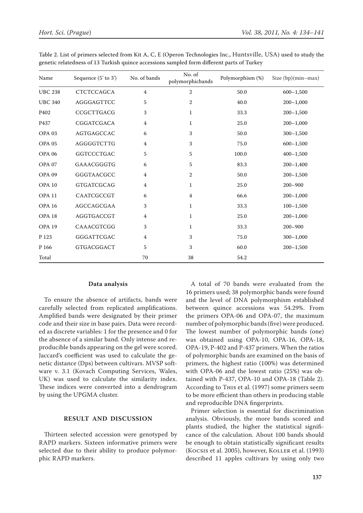| Name              | Sequence (5' to 3') | No. of bands   | No. of<br>polymorphicbands | Polymorphism (%) | Size (bp)(min-max) |
|-------------------|---------------------|----------------|----------------------------|------------------|--------------------|
| <b>UBC 238</b>    | CTCTCCAGCA          | $\overline{4}$ | $\boldsymbol{2}$           | 50.0             | $600 - 1,500$      |
| <b>UBC 340</b>    | AGGGAGTTCC          | 5              | 2                          | 40.0             | $200 - 1,000$      |
| P402              | CCGCTTGACG          | 3              | 1                          | 33.3             | $200 - 1,500$      |
| P437              | CGGATCGACA          | 4              | 1                          | 25.0             | $200 - 1,000$      |
| OPA <sub>03</sub> | AGTGAGCCAC          | 6              | 3                          | 50.0             | $300 - 1,500$      |
| OPA <sub>05</sub> | AGGGGTCTTG          | 4              | 3                          | 75.0             | $600 - 1,500$      |
| <b>OPA 06</b>     | <b>GGTCCCTGAC</b>   | 5              | 5                          | 100.0            | $400 - 1,500$      |
| OPA <sub>07</sub> | GAAACGGGTG          | 6              | 5                          | 83.3             | $200 - 1,400$      |
| OPA <sub>09</sub> | GGGTAACGCC          | 4              | 2                          | 50.0             | $200 - 1,500$      |
| OPA <sub>10</sub> | <b>GTGATCGCAG</b>   | 4              | 1                          | 25.0             | $200 - 900$        |
| OPA <sub>11</sub> | CAATCGCCGT          | 6              | 4                          | 66.6             | $200 - 1,000$      |
| <b>OPA 16</b>     | AGCCAGCGAA          | 3              | 1                          | 33.3             | $100 - 1,500$      |
| OPA <sub>18</sub> | AGGTGACCGT          | 4              | 1                          | 25.0             | $200 - 1,000$      |
| OPA <sub>19</sub> | CAAACGTCGG          | 3              | 1                          | 33.3             | $200 - 900$        |
| P 123             | GGGATTCGAC          | $\overline{4}$ | 3                          | 75.0             | $300 - 1,000$      |
| P 166             | GTGACGGACT          | 5              | 3                          | 60.0             | $200 - 1,500$      |
| Total             |                     | 70             | 38                         | 54.2             |                    |

Table 2. List of primers selected from Kit A, C, E (Operon Technologies Inc., Huntsville, USA) used to study the genetic relatedness of 13 Turkish quince accessions sampled form different parts of Turkey

# **Data analysis**

To ensure the absence of artifacts, bands were carefully selected from replicated amplifications. Amplified bands were designated by their primer code and their size in base pairs. Data were recorded as discrete variables: 1 for the presence and 0 for the absence of a similar band. Only intense and reproducible bands appearing on the gel were scored. Jaccard's coefficient was used to calculate the genetic distance (Dps) between cultivars. MVSP software v. 3.1 (Kovach Computing Services, Wales, UK) was used to calculate the similarity index. These indices were converted into a dendrogram by using the UPGMA cluster.

# **Result and Discussion**

Thirteen selected accession were genotyped by RAPD markers. Sixteen informative primers were selected due to their ability to produce polymorphic RAPD markers.

A total of 70 bands were evaluated from the 16 primers used; 38 polymorphic bands were found and the level of DNA polymorphism established between quince accessions was 54.29%. From the primers OPA-06 and OPA-07, the maximum number of polymorphic bands (five) were produced. The lowest number of polymorphic bands (one) was obtained using OPA-10, OPA-16, OPA-18, OPA-19, P-402 and P-437 primers. When the ratios of polymorphic bands are examined on the basis of primers, the highest ratio (100%) was determined with OPA-06 and the lowest ratio (25%) was obtained with P-437, OPA-10 and OPA-18 (Table 2). According to This et al. (1997) some primers seem to be more efficient than others in producing stable and reproducible DNA fingerprints.

Primer selection is essential for discrimination analysis. Obviously, the more bands scored and plants studied, the higher the statistical significance of the calculation. About 100 bands should be enough to obtain statistically significant results (Kocsis et al. 2005), however, Koller et al. (1993) described 11 apples cultivars by using only two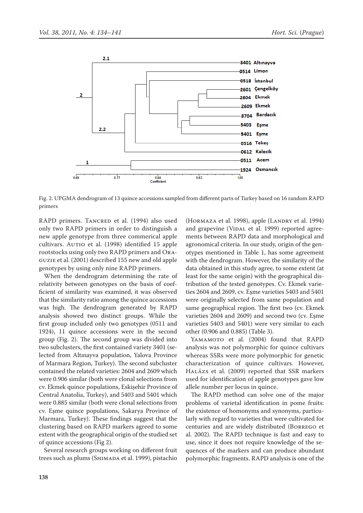

Fig. 2. UPGMA dendrogram of 13 quince accessions sampled from different parts of Turkey based on 16 random RAPD primers

RAPD primers. TANCRED et al. (1994) also used only two RAPD primers in order to distinguish a new apple genotype from three commerical apple cultivars. AUTIO et al. (1998) identified 15 apple rootstocks using only two RAPD primers and Oraguzie et al. (2001) described 155 new and old apple genotypes by using only nine RAPD primers.

When the dendrogram determining the rate of relativity between genotypes on the basis of coefficient of similarity was examined, it was observed that the similarity ratio among the quince accessions was high. The dendrogram generated by RAPD analysis showed two distinct groups. While the first group included only two genotypes (0511 and 1924), 11 quince accessions were in the second group (Fig. 2). The second group was divided into two subclusters, the first contained variety 3401 (selected from Altınayva population, Yalova Province of Marmara Region, Turkey). The second subcluster contained the related varieties: 2604 and 2609 which were 0.906 similar (both were clonal selections from cv. Ekmek quince populations, Eskişehir Province of Central Anatolia, Turkey), and 5403 and 5401 which were 0.885 similar (both were clonal selections from cv. Eşme quince populations, Sakarya Province of Marmara, Turkey). These findings suggest that the clustering based on RAPD markers agreed to some extent with the geographical origin of the studied set of quince accessions (Fig 2).

Several research groups working on different fruit trees such as plums (SHIMADA et al. 1999), pistachio

(HORMAZA et al. 1998), apple (LANDRY et al. 1994) and grapevine (VIDAL et al. 1999) reported agreements between RAPD data and morphological and agronomical criteria. In our study, origin of the genotypes mentioned in Table 1, has some agreement with the dendrogram. However, the similarity of the data obtained in this study agree, to some extent (at least for the same origin) with the geographical distribution of the tested genotypes. Cv. Ekmek varieties 2604 and 2609, cv. Eşme varieties 5403 and 5401 were originally selected from same population and same geographical region. The first two (cv. Ekmek varieties 2604 and 2609) and second two (cv. Eşme varieties 5403 and 5401) were very similar to each other (0.906 and 0.885) (Table 3).

YAMAMOTO et al. (2004) found that RAPD analysis was not polymorphic for quince cultivars whereas SSRs were more polymorphic for genetic characterization of quince cultivars. However, Halázs et al. (2009) reported that SSR markers used for identification of apple genotypes gave low allele number per locus in quince.

The RAPD method can solve one of the major problems of varietal identification in pome fruits: the existence of homonyms and synonyms, particularly with regard to varieties that were cultivated for centuries and are widely distributed (Borrego et al. 2002). The RAPD technique is fast and easy to use, since it does not require knowledge of the sequences of the markers and can produce abundant polymorphic fragments. RAPD analysis is one of the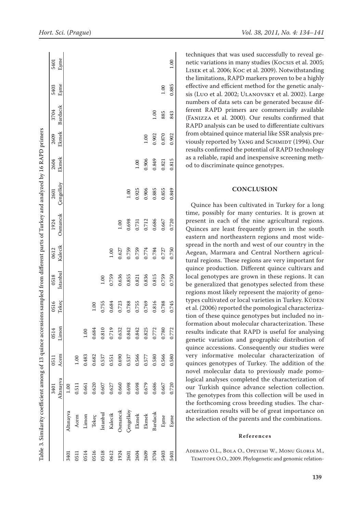| Table 3. Similarity coefficient among of 13 quince accessions sampled from different parts of Turkey and analyzed by 16 RAPD primers |           |           |       |       |       |          |         |          |           |       |       |          |       |      |
|--------------------------------------------------------------------------------------------------------------------------------------|-----------|-----------|-------|-------|-------|----------|---------|----------|-----------|-------|-------|----------|-------|------|
|                                                                                                                                      |           | 3401      | 0511  | 0514  | 0516  | 0518     | 0612    | 1924     | 2601      | 2604  | 2609  | 3704     | 5403  | 5401 |
|                                                                                                                                      |           | Altınayva | Acem  | Limon | Tekec | Istanbul | Kalecik | Osmancık | Çengelköy | Ekmek | Ekmek | Bardacık | Eşme  | Esme |
| 3401                                                                                                                                 | Altnayva  | 1.00      |       |       |       |          |         |          |           |       |       |          |       |      |
| 0511                                                                                                                                 | Acem      | 0.511     | 1.00  |       |       |          |         |          |           |       |       |          |       |      |
| 0514                                                                                                                                 | Limon     | 0.661     | 0.483 | 1.00  |       |          |         |          |           |       |       |          |       |      |
| 0516                                                                                                                                 | Tekeç     | 0.620     | 0.682 | 0.684 | 001   |          |         |          |           |       |       |          |       |      |
| 0518                                                                                                                                 | İstanbul  | 0.607     | 0.537 | 0.810 | 0.755 | 1.00     |         |          |           |       |       |          |       |      |
| 0612                                                                                                                                 | Kalecik   | 0.627     | 0.551 | 0.719 | 0.684 | 0.759    | 1.00    |          |           |       |       |          |       |      |
| 1924                                                                                                                                 | Osmancık  | 0.660     | 0.690 | 0.632 | 0.723 | 0.636    | 0.627   | 1.00     |           |       |       |          |       |      |
| 2601                                                                                                                                 | Çengelköy | 0.698     | 0.537 | 0.842 | 0.788 | 0.855    | 0.759   | 0.698    | 1.00      |       |       |          |       |      |
| 2604                                                                                                                                 | Ekmek     | 0.698     | 0.566 | 0.842 | 0.755 | 0.821    | 0.759   | 0.731    | 0.925     | 1.00  |       |          |       |      |
| 2609                                                                                                                                 | Ekmek     | 0.679     | 0.577 | 0.825 | 0.769 | 0.836    | 0.774   | 0.712    | 0.906     | 0.906 | 1.00  |          |       |      |
| 3704                                                                                                                                 | Bardacık  | 0.686     | 0.580 | 0.772 | 0.816 | 0.815    | 0.784   | 0.686    | 0.885     | 0.849 | 0.902 | 001      |       |      |
| 5403                                                                                                                                 | Eşme      | 0.667     | 0.566 | 0.780 | 0.788 | 0.759    | 0.727   | 0.667    | 0.855     | 0.821 | 0.870 | 885      | 1.00  |      |
| 5401                                                                                                                                 | Eşme      | 0.720     | 0.580 | 0.772 | 0.745 | 0.750    | 0.750   | 0.720    | 0.849     | 0.815 | 0.902 | 843      | 0.885 | 1.00 |

techniques that was used successfully to reveal genetic variations in many studies (Kocsis et al. 2005; Lisek et al. 2006; Koc et al. 2009). Notwithstanding the limitations, RAPD markers proven to be a highly effective and efficient method for the genetic analysis (Luo et al. 2002; ULANOVSKY et al. 2002). Large numbers of data sets can be generated because different RAPD primers are commercially available (Fanizza et al. 2000). Our results confirmed that RAPD analysis can be used to differentiate cultivars from obtained quince material like SSR analysis previously reported by YANG and SCHMIDT (1994). Our results confirmed the potential of RAPD technology as a reliable, rapid and inexpensive screening method to discriminate quince genotypes.

#### **Conclusion**

Quince has been cultivated in Turkey for a long time, possibly for many centuries. It is grown at present in each of the nine agricultural regions. Quinces are least frequently grown in the south eastern and northeastern regions and most widespread in the north and west of our country in the Aegean, Marmara and Central Northern agricultural regions. These regions are very important for quince production. Different quince cultivars and local genotypes are grown in these regions. It can be generalized that genotypes selected from these regions most likely represent the majority of genotypes cultivated or local varieties in Turkey. KÜDEN et al. (2006) reported the pomological characterization of these quince genotypes but included no information about molecular characterization. These results indicate that RAPD is useful for analysing genetic variation and geographic distribution of quince accessions. Consequently our studies were very informative molecular characterization of quinces genotypes of Turkey. The addition of the novel molecular data to previously made pomological analyses completed the characterization of our Turkish quince advance selection collection. The genotypes from this collection will be used in the forthcoming cross breeding studies. The characterization results will be of great importance on the selection of the parents and the combinations.

#### **References**

Adebayo O.L., Bola O., Opeyemi W., Monu Gloria M., TEMITOPE O.O., 2009. Phylogenetic and genomic relation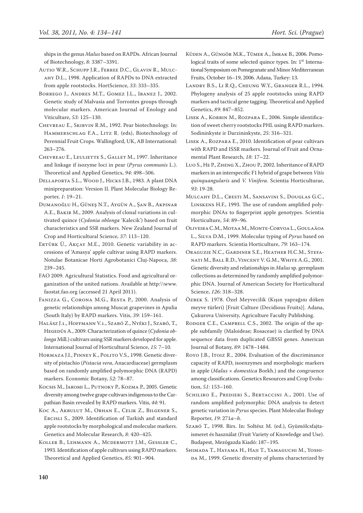ships in the genus *Malus* based on RAPDs. African Journal of Biotechnology, *8*: 3387–3391.

- Autio W.R., Schupp J.R., Ferree D.C., Glavin R., Mulcahy D.L., 1998. Application of RAPDs to DNA extracted from apple rootstocks. HortScience, *33*: 333–335.
- Borrego J., Andres M.T., Gomez J.L., Ibanez J., 2002. Genetic study of Malvasia and Torrontes groups through molecular markers. American Journal of Enology and Viticulture, *53*: 125–130.
- Chevreau E., Skirvin R.M., 1992. Pear biotechnology. In: Hammerschlag F.A., Litz R. (eds), Biotechnology of Perennial Fruit Crops. Wallingford, UK, AB International: 263–276.
- CHEVREAU E., LEULIETTE S., GALLET M., 1997. Inheritance and linkage if isozyme loci in pear (*Pyrus communis* L.). Theoretical and Applied Genetics, *94*: 498–506.
- Dellaporta S.L., Wood J., Hicks J.B., 1983. A plant DNA minipreparation: Version II. Plant Molecular Biology Reporter, *1*: 19–21.
- Dumanoğlu H., Güneş N.T., Aygün A., Şan B., Akpinar A.E., Bakir M., 2009. Analysis of clonal variations in cultivated quince (*Cydonia oblonga* 'Kalecik') based on fruit characteristics and SSR markers. New Zealand Journal of Crop and Horticultural Science, *37*: 113–120.
- ERTÜRK Ü., AKCAY M.E., 2010. Genetic variability in accessions of 'Amasya' apple cultivar using RAPD markers. Notulae Botanicae Horti Agrobotanici Cluj-Napoca, *38*: 239–245.
- FAO 2009. Agricultural Statistics. Food and agricultural organization of the united nations. Available at http:\\www. faostat.fao.org (accessed 21 April 2011).
- FANIZZA G., CORONA M.G., RESTA P., 2000. Analysis of genetic relationships among Muscat grapevines in Apulia (South Italy) by RAPD markers. Vitis, *39*: 159–161.
- Halász J.1., Hoffmann V.1., Szabó Z., Nyéki J., Szabó, T., Hegedûs A., 2009. Characterization of quince (*Cydonia oblonga* Mill.) cultivars using SSR markers developed for apple. International Journal of Horticultural Science, *15*: 7–10.
- Hormaza J.I., Pinney K., Polito V.S., 1998. Genetic diversity of pistachio (*Pistacia vera*, Anacardiaceae) germplasm based on randomly amplified polymorphic DNA (RAPD) markers. Economic Botany, *52*: 78–87.
- Kocsis M., Jaromi L., Putnoky P., Kozma P., 2005. Genetic diversity among twelve grape cultivars indigenous to the Carpathian Basin revealed by RAPD markers. Vitis, *44*: 91.
- Koc A., Akbulut M., Orhan E., Celik Z., Bilgener S., Ercisli S., 2009. Identification of Turkish and standard apple rootstocks by morphological and molecular markers. Genetics and Molecular Research, *8*: 420–425.
- Koller B., Lehmann A., Mcdermott J.M., Gessler C., 1993. Identification of apple cultivars using RAPD markers. Theoretical and Applied Genetics, *85*: 901–904.
- Küden A., Güngör M.K., Tümer A., İmrak B., 2006. Pomological traits of some selected quince types. In: 1<sup>st</sup> International Symposium on Pomegranate and Minor Mediterranean Fruits, October 16–19, 2006. Adana, Turkey: 13.
- Landry B.S., Li R.Q., Cheung W.Y., Granger R.L., 1994. Phylogeny analysis of 25 apple rootstocks using RAPD markers and tactical gene tagging. Theoretical and Applied Genetics, *89*: 847–852.
- Lisek A., Korbin M., Rozpara E., 2006. Simple identification of sweet cherry rootstocks PHL using RAPD markers. Sodininkyste ir Darzininkyste, *25*: 316–321.
- Lisek A., Rozpara E., 2010. Identification of pear cultivars with RAPD and ISSR markers. Journal of Fruit and Ornamental Plant Research, *18*: 17–22.
- Luo S., He P., Zheng X., Zhou P., 2002. Inheritance of RAPD markers in an interspecific F1 hybrid of grape between *Vitis quinquangularis* and *V. Vinifera.* Scientia Horticulturae, *93*: 19-28.
- Mulcahy D.L., Cresti M., Sansavini S., Douglas G.C., Linskens H.F., 1993. The use of random amplified polymorphic DNAs to fingerprint apple genotypes. Scientia Horticulture, *54*: 89–96.
- Oliveira C.M., Motaa M., Monte-Corvoa L., Goulaäoa L., Silva D.M., 1999. Molecular typing of *Pyrus* based on RAPD markers. Scientia Horticulture, *79*: 163–174.
- Oraguzie N.C., Gardiner S.E., Heather H.C.M., Stefanati M., Ball R.D., Vincent V. G.M., White A.G., 2001. Genetic diversity and relationships in *Malus* sp. germplasm collections as determined by randomly amplified polymorphic DNA. Journal of American Society for Horticultural Science, *126*: 318–328.
- Özbek S. 1978. Özel Meyvecilik (Kışın yaprağını döken meyve türleri) [Fruit Culture (Decidious Fruits)]. Adana, Çukurova University, Agriculture Faculty Publishing.
- RODGER C.E., CAMPBELL C.S., 2002. The origin of the apple subfamily (Maloideae; Rosaceae) is clarified by DNA sequence data from duplicated GBSSI genes. American Journal of Botany, *89*: 1478–1484.
- Royo J.B., Itoiz R., 2004. Evaluation of the discriminance capacity of RAPD, isoenzymes and morphologic markers in apple (*Malus × domestica* Borkh.) and the congruence among classifications. Genetics Resources and Crop Evolution, *51*: 153–160.
- Schiliro E., Predieri S., Bertaccini A., 2001. Use of random amplified polymorphic DNA analysis to detect genetic variation in *Pyrus* species. Plant Molecular Biology Reporter, *19*: 271*a*–*h*.
- Szabó T., 1998. Birs. In: Soltész M. (ed.), Gyümölcsfajtaismeret és használat (Fruit Variety of Knowledge and Use). Budapest, Mezôgazda Kiadó: 187–195.
- Shimada T., Hayama H., Haji T., Yamaguchi M., Yoshi-DA M., 1999. Genetic diversity of plums characterized by